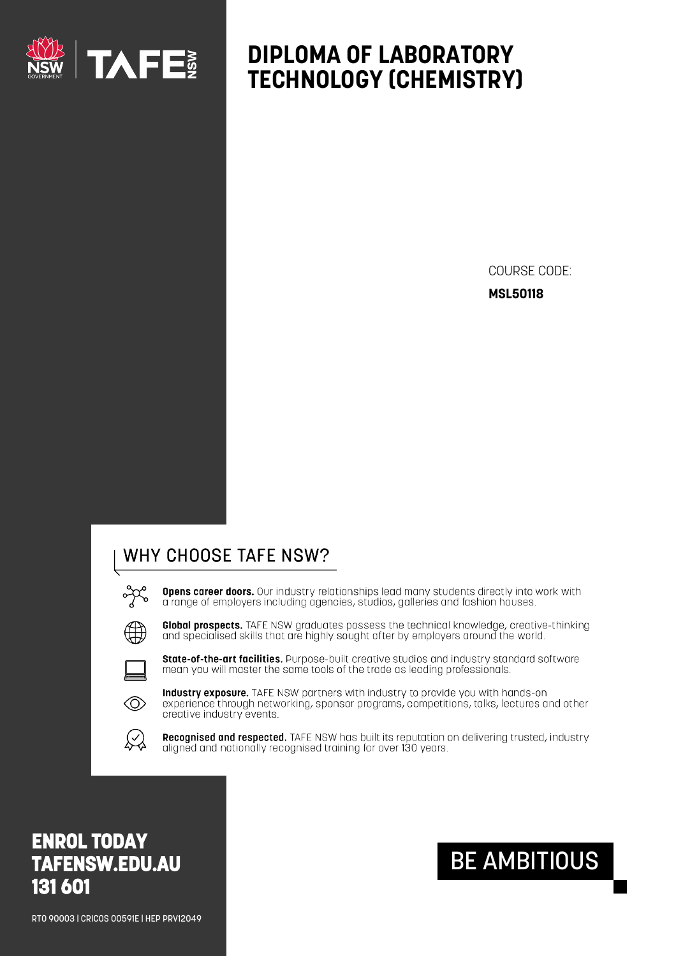

# **DIPLOMA OF LABORATORY TECHNOLOGY (CHEMISTRY)**

COURSE CODE: **MSL50118**

### WHY CHOOSE TAFE NSW?

**Opens career doors.** Our industry relationships lead many students directly into work with a range of employers including agencies, studios, galleries and fashion houses.



Global prospects. TAFE NSW graduates possess the technical knowledge, creative-thinking and specialised skills that are highly sought after by employers around the world.



State-of-the-art facilities. Purpose-built creative studios and industry standard software mean you will master the same tools of the trade as leading professionals.



Industry exposure. TAFE NSW partners with industry to provide you with hands-on experience through networking, sponsor programs, competitions, talks, lectures and other creative industry events.



Recognised and respected. TAFE NSW has built its reputation on delivering trusted, industry aligned and nationally recognised training for over 130 years.

## **ENROL TODAY [TAFENSW.EDU.AU](https://www.tafensw.edu.au/) 131 601**

RTO 90003 | CRICOS 00591E | HEP PRV12049

# BE AMBITIOUS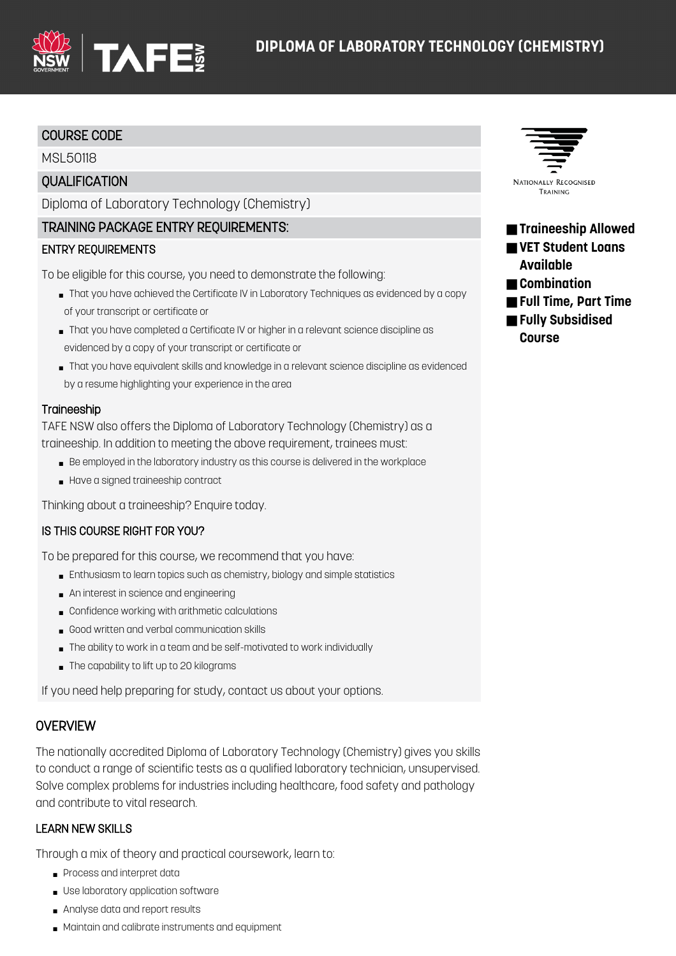

#### COURSE CODE

MSL50118

#### **OUALIFICATION**

Diploma of Laboratory Technology (Chemistry)

#### TRAINING PACKAGE ENTRY REQUIREMENTS:

#### ENTRY REQUIREMENTS

To be eligible for this course, you need to demonstrate the following:

- That you have achieved the Certificate IV in Laboratory Techniques as evidenced by a copy of your transcript or certificate or
- That you have completed a Certificate IV or higher in a relevant science discipline as evidenced by a copy of your transcript or certificate or
- That you have equivalent skills and knowledge in a relevant science discipline as evidenced by a resume highlighting your experience in the area

#### **Traineeship**

TAFE NSW also offers the Diploma of Laboratory Technology (Chemistry) as a traineeship. In addition to meeting the above requirement, trainees must:

- Be employed in the laboratory industry as this course is delivered in the workplace
- Have a signed traineeship contract

Thinking about a traineeship? Enquire today.

#### IS THIS COURSE RIGHT FOR YOU?

To be prepared for this course, we recommend that you have:

- Enthusiasm to learn topics such as chemistry, biology and simple statistics
- An interest in science and engineering
- Confidence working with arithmetic calculations
- Good written and verbal communication skills
- The ability to work in a team and be self-motivated to work individually
- The capability to lift up to 20 kilograms

If you need help preparing for study, contact us about your options.

#### **OVERVIEW**

The nationally accredited Diploma of Laboratory Technology (Chemistry) gives you skills to conduct a range of scientific tests as a qualified laboratory technician, unsupervised. Solve complex problems for industries including healthcare, food safety and pathology and contribute to vital research.

#### LEARN NEW SKILLS

Through a mix of theory and practical coursework, learn to:

- Process and interpret data
- Use laboratory application software
- Analyse data and report results
- Maintain and calibrate instruments and equipment



#### ■ **Traineeship Allowed** ■ VET Student Loans **Available**

- **Combination**
- **Full Time, Part Time**
- **Fully Subsidised Course**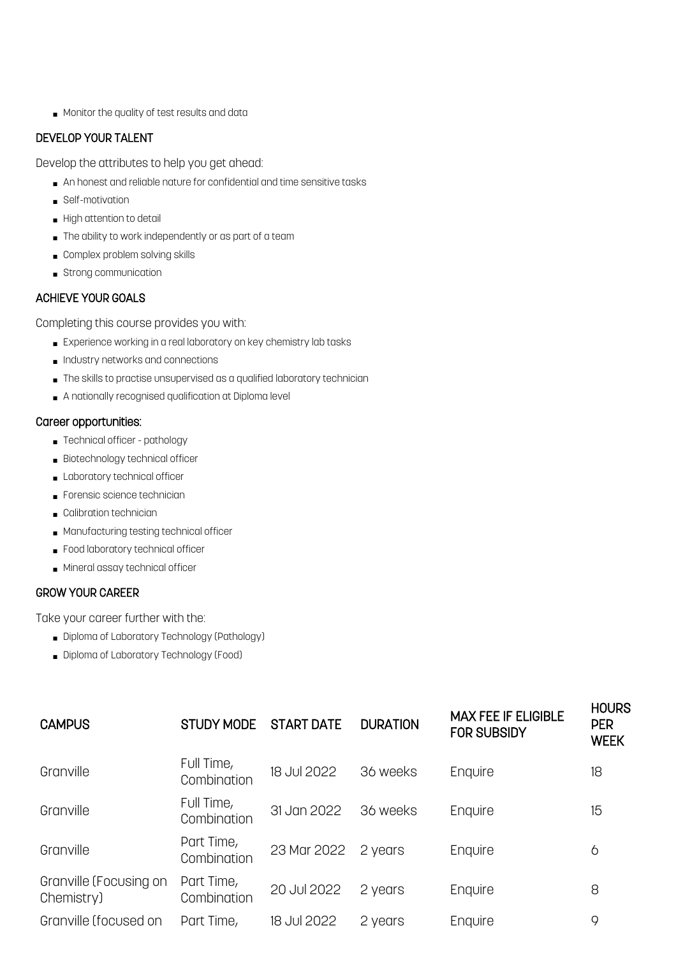■ Monitor the quality of test results and data

#### DEVELOP YOUR TALENT

Develop the attributes to help you get ahead:

- An honest and reliable nature for confidential and time sensitive tasks
- Self-motivation
- High attention to detail
- The ability to work independently or as part of a team
- Complex problem solving skills
- Strong communication

#### ACHIEVE YOUR GOALS

Completing this course provides you with:

- Experience working in a real laboratory on key chemistry lab tasks
- Industry networks and connections
- The skills to practise unsupervised as a qualified laboratory technician
- A nationally recognised qualification at Diploma level

#### Career opportunities:

- Technical officer pathology
- Biotechnology technical officer
- Laboratory technical officer
- Forensic science technician
- Calibration technician
- Manufacturing testing technical officer
- Food laboratory technical officer
- Mineral assay technical officer

#### GROW YOUR CAREER

Take your career further with the:

- Diploma of Laboratory Technology (Pathology)
- Diploma of Laboratory Technology (Food)

| <b>CAMPUS</b>                        | <b>STUDY MODE</b>         | <b>START DATE</b> | <b>DURATION</b> | <b>MAX FEE IF ELIGIBLE</b><br><b>FOR SUBSIDY</b> | <b>HOURS</b><br><b>PER</b><br><b>WEEK</b> |
|--------------------------------------|---------------------------|-------------------|-----------------|--------------------------------------------------|-------------------------------------------|
| Granville                            | Full Time,<br>Combination | 18 Jul 2022       | 36 weeks        | Enquire                                          | 18                                        |
| Granville                            | Full Time,<br>Combination | 31 Jan 2022       | 36 weeks        | Enquire                                          | 15                                        |
| Granville                            | Part Time,<br>Combination | 23 Mar 2022       | 2 years         | Enquire                                          | 6                                         |
| Granville (Focusing on<br>Chemistry) | Part Time,<br>Combination | 20 Jul 2022       | 2 years         | Enquire                                          | 8                                         |
| Granville (focused on                | Part Time,                | 18 Jul 2022       | 2 years         | Enquire                                          | 9                                         |